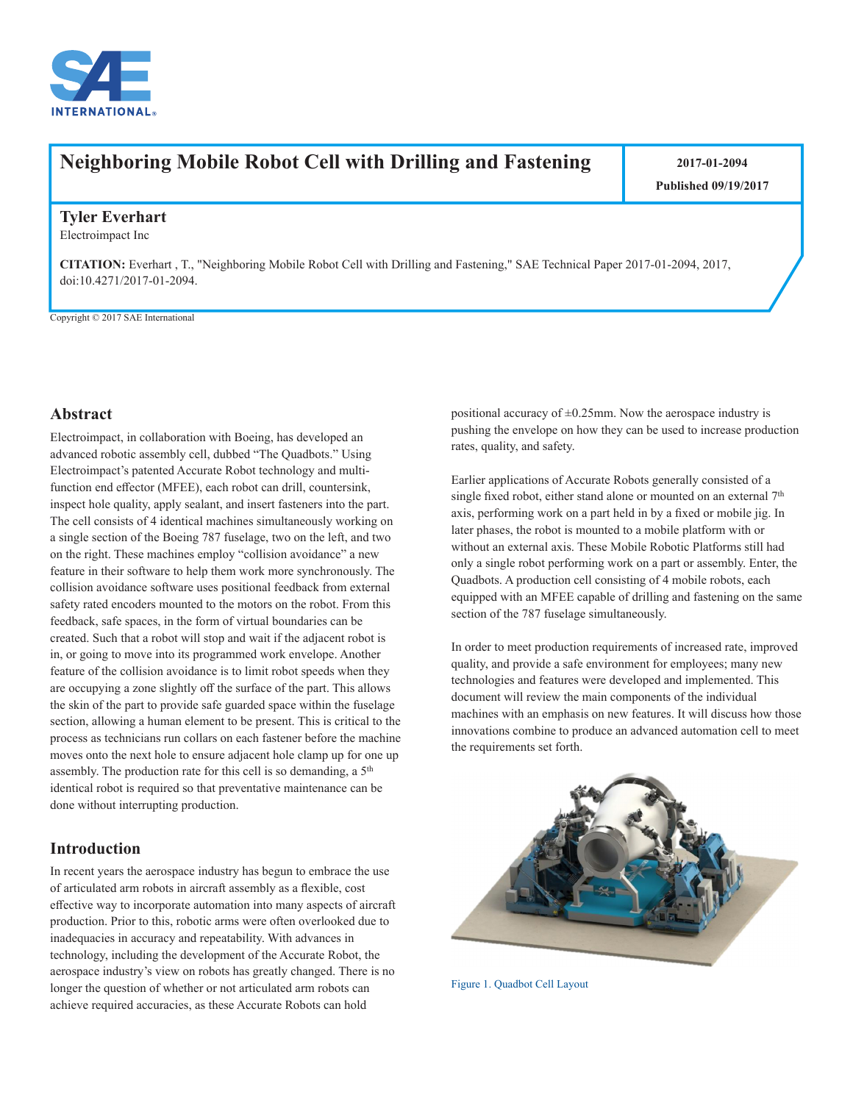

# **Neighboring Mobile Robot Cell with Drilling and Fastening | 2017-01-2094**

**Published 09/19/2017**

#### **Tyler Everhart**

Electroimpact Inc

**CITATION:** Everhart , T., "Neighboring Mobile Robot Cell with Drilling and Fastening," SAE Technical Paper 2017-01-2094, 2017, doi:10.4271/2017-01-2094.

Copyright © 2017 SAE International

#### **Abstract**

Electroimpact, in collaboration with Boeing, has developed an advanced robotic assembly cell, dubbed "The Quadbots." Using Electroimpact's patented Accurate Robot technology and multifunction end effector (MFEE), each robot can drill, countersink, inspect hole quality, apply sealant, and insert fasteners into the part. The cell consists of 4 identical machines simultaneously working on a single section of the Boeing 787 fuselage, two on the left, and two on the right. These machines employ "collision avoidance" a new feature in their software to help them work more synchronously. The collision avoidance software uses positional feedback from external safety rated encoders mounted to the motors on the robot. From this feedback, safe spaces, in the form of virtual boundaries can be created. Such that a robot will stop and wait if the adjacent robot is in, or going to move into its programmed work envelope. Another feature of the collision avoidance is to limit robot speeds when they are occupying a zone slightly off the surface of the part. This allows the skin of the part to provide safe guarded space within the fuselage section, allowing a human element to be present. This is critical to the process as technicians run collars on each fastener before the machine moves onto the next hole to ensure adjacent hole clamp up for one up assembly. The production rate for this cell is so demanding, a  $5<sup>th</sup>$ identical robot is required so that preventative maintenance can be done without interrupting production.

## **Introduction**

In recent years the aerospace industry has begun to embrace the use of articulated arm robots in aircraft assembly as a flexible, cost effective way to incorporate automation into many aspects of aircraft production. Prior to this, robotic arms were often overlooked due to inadequacies in accuracy and repeatability. With advances in technology, including the development of the Accurate Robot, the aerospace industry's view on robots has greatly changed. There is no longer the question of whether or not articulated arm robots can achieve required accuracies, as these Accurate Robots can hold

positional accuracy of  $\pm 0.25$ mm. Now the aerospace industry is pushing the envelope on how they can be used to increase production rates, quality, and safety.

Earlier applications of Accurate Robots generally consisted of a single fixed robot, either stand alone or mounted on an external  $7<sup>th</sup>$ axis, performing work on a part held in by a fixed or mobile jig. In later phases, the robot is mounted to a mobile platform with or without an external axis. These Mobile Robotic Platforms still had only a single robot performing work on a part or assembly. Enter, the Quadbots. A production cell consisting of 4 mobile robots, each equipped with an MFEE capable of drilling and fastening on the same section of the 787 fuselage simultaneously.

In order to meet production requirements of increased rate, improved quality, and provide a safe environment for employees; many new technologies and features were developed and implemented. This document will review the main components of the individual machines with an emphasis on new features. It will discuss how those innovations combine to produce an advanced automation cell to meet the requirements set forth.



Figure 1. Quadbot Cell Layout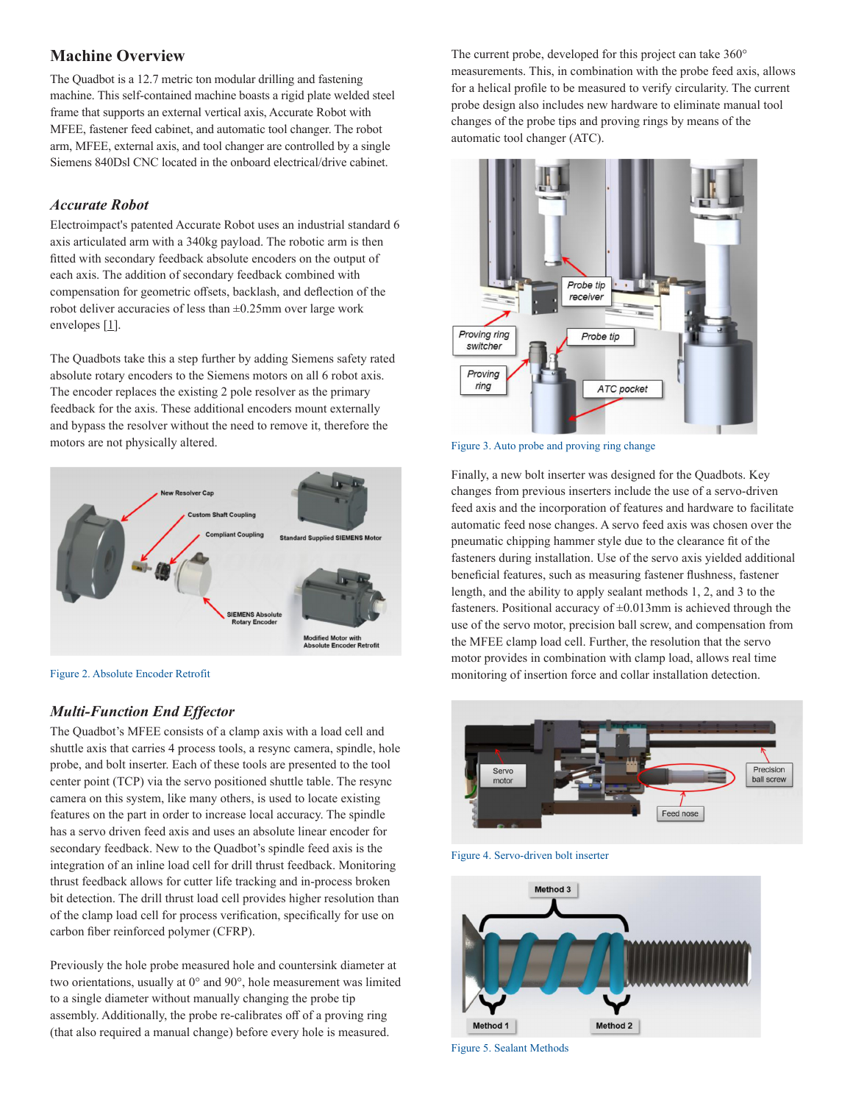# **Machine Overview**

The Quadbot is a 12.7 metric ton modular drilling and fastening machine. This self-contained machine boasts a rigid plate welded steel frame that supports an external vertical axis, Accurate Robot with MFEE, fastener feed cabinet, and automatic tool changer. The robot arm, MFEE, external axis, and tool changer are controlled by a single Siemens 840Dsl CNC located in the onboard electrical/drive cabinet.

#### *Accurate Robot*

Electroimpact's patented Accurate Robot uses an industrial standard 6 axis articulated arm with a 340kg payload. The robotic arm is then fitted with secondary feedback absolute encoders on the output of each axis. The addition of secondary feedback combined with compensation for geometric offsets, backlash, and deflection of the robot deliver accuracies of less than ±0.25mm over large work envelopes [[1](#page-2-0)].

The Quadbots take this a step further by adding Siemens safety rated absolute rotary encoders to the Siemens motors on all 6 robot axis. The encoder replaces the existing 2 pole resolver as the primary feedback for the axis. These additional encoders mount externally and bypass the resolver without the need to remove it, therefore the motors are not physically altered.



Figure 2. Absolute Encoder Retrofit

## *Multi-Function End Effector*

The Quadbot's MFEE consists of a clamp axis with a load cell and shuttle axis that carries 4 process tools, a resync camera, spindle, hole probe, and bolt inserter. Each of these tools are presented to the tool center point (TCP) via the servo positioned shuttle table. The resync camera on this system, like many others, is used to locate existing features on the part in order to increase local accuracy. The spindle has a servo driven feed axis and uses an absolute linear encoder for secondary feedback. New to the Quadbot's spindle feed axis is the integration of an inline load cell for drill thrust feedback. Monitoring thrust feedback allows for cutter life tracking and in-process broken bit detection. The drill thrust load cell provides higher resolution than of the clamp load cell for process verification, specifically for use on carbon fiber reinforced polymer (CFRP).

Previously the hole probe measured hole and countersink diameter at two orientations, usually at 0° and 90°, hole measurement was limited to a single diameter without manually changing the probe tip assembly. Additionally, the probe re-calibrates off of a proving ring (that also required a manual change) before every hole is measured.

The current probe, developed for this project can take 360° measurements. This, in combination with the probe feed axis, allows for a helical profile to be measured to verify circularity. The current probe design also includes new hardware to eliminate manual tool changes of the probe tips and proving rings by means of the automatic tool changer (ATC).



Figure 3. Auto probe and proving ring change

Finally, a new bolt inserter was designed for the Quadbots. Key changes from previous inserters include the use of a servo-driven feed axis and the incorporation of features and hardware to facilitate automatic feed nose changes. A servo feed axis was chosen over the pneumatic chipping hammer style due to the clearance fit of the fasteners during installation. Use of the servo axis yielded additional beneficial features, such as measuring fastener flushness, fastener length, and the ability to apply sealant methods 1, 2, and 3 to the fasteners. Positional accuracy of  $\pm 0.013$ mm is achieved through the use of the servo motor, precision ball screw, and compensation from the MFEE clamp load cell. Further, the resolution that the servo motor provides in combination with clamp load, allows real time monitoring of insertion force and collar installation detection.



Figure 4. Servo-driven bolt inserter



Figure 5. Sealant Methods